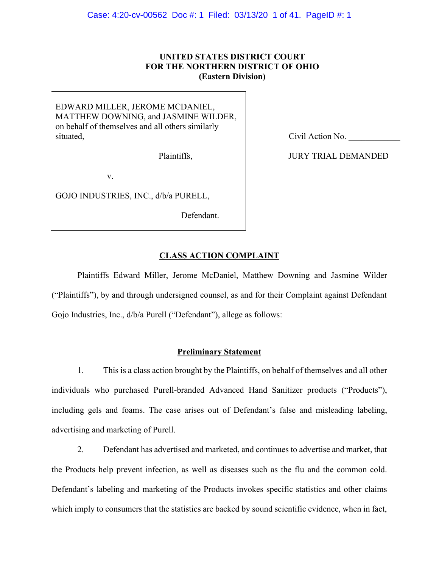# **UNITED STATES DISTRICT COURT FOR THE NORTHERN DISTRICT OF OHIO (Eastern Division)**

EDWARD MILLER, JEROME MCDANIEL, MATTHEW DOWNING, and JASMINE WILDER, on behalf of themselves and all others similarly situated,

Plaintiffs,

v.

GOJO INDUSTRIES, INC., d/b/a PURELL,

Defendant.

Civil Action No.

JURY TRIAL DEMANDED

# **CLASS ACTION COMPLAINT**

Plaintiffs Edward Miller, Jerome McDaniel, Matthew Downing and Jasmine Wilder ("Plaintiffs"), by and through undersigned counsel, as and for their Complaint against Defendant Gojo Industries, Inc.,  $d/b/a$  Purell ("Defendant"), allege as follows:

# **Preliminary Statement**

1. This is a class action brought by the Plaintiffs, on behalf of themselves and all other individuals who purchased Purell-branded Advanced Hand Sanitizer products ("Products"), including gels and foams. The case arises out of Defendant's false and misleading labeling, advertising and marketing of Purell.

2. Defendant has advertised and marketed, and continues to advertise and market, that the Products help prevent infection, as well as diseases such as the flu and the common cold. Defendant's labeling and marketing of the Products invokes specific statistics and other claims which imply to consumers that the statistics are backed by sound scientific evidence, when in fact,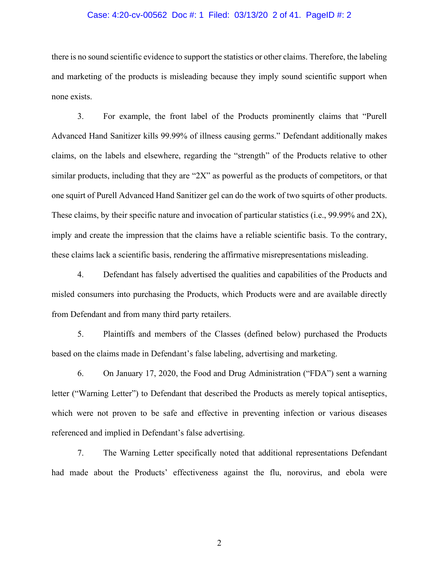#### Case: 4:20-cv-00562 Doc #: 1 Filed: 03/13/20 2 of 41. PageID #: 2

there is no sound scientific evidence to support the statistics or other claims. Therefore, the labeling and marketing of the products is misleading because they imply sound scientific support when none exists.

3. For example, the front label of the Products prominently claims that "Purell Advanced Hand Sanitizer kills 99.99% of illness causing germs." Defendant additionally makes claims, on the labels and elsewhere, regarding the "strength" of the Products relative to other similar products, including that they are "2X" as powerful as the products of competitors, or that one squirt of Purell Advanced Hand Sanitizer gel can do the work of two squirts of other products. These claims, by their specific nature and invocation of particular statistics (i.e., 99.99% and 2X), imply and create the impression that the claims have a reliable scientific basis. To the contrary, these claims lack a scientific basis, rendering the affirmative misrepresentations misleading.

4. Defendant has falsely advertised the qualities and capabilities of the Products and misled consumers into purchasing the Products, which Products were and are available directly from Defendant and from many third party retailers.

5. Plaintiffs and members of the Classes (defined below) purchased the Products based on the claims made in Defendant's false labeling, advertising and marketing.

6. On January 17, 2020, the Food and Drug Administration ("FDA") sent a warning letter ("Warning Letter") to Defendant that described the Products as merely topical antiseptics, which were not proven to be safe and effective in preventing infection or various diseases referenced and implied in Defendant's false advertising.

7. The Warning Letter specifically noted that additional representations Defendant had made about the Products' effectiveness against the flu, norovirus, and ebola were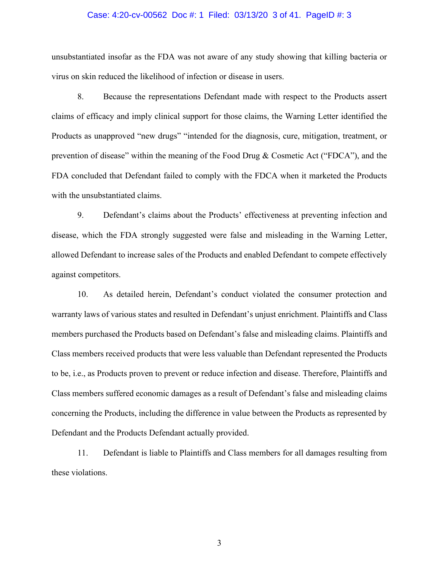#### Case: 4:20-cv-00562 Doc #: 1 Filed: 03/13/20 3 of 41. PageID #: 3

unsubstantiated insofar as the FDA was not aware of any study showing that killing bacteria or virus on skin reduced the likelihood of infection or disease in users.

8. Because the representations Defendant made with respect to the Products assert claims of efficacy and imply clinical support for those claims, the Warning Letter identified the Products as unapproved "new drugs" "intended for the diagnosis, cure, mitigation, treatment, or prevention of disease" within the meaning of the Food Drug & Cosmetic Act ("FDCA"), and the FDA concluded that Defendant failed to comply with the FDCA when it marketed the Products with the unsubstantiated claims.

9. Defendant's claims about the Products' effectiveness at preventing infection and disease, which the FDA strongly suggested were false and misleading in the Warning Letter, allowed Defendant to increase sales of the Products and enabled Defendant to compete effectively against competitors.

10. As detailed herein, Defendant's conduct violated the consumer protection and warranty laws of various states and resulted in Defendant's unjust enrichment. Plaintiffs and Class members purchased the Products based on Defendant's false and misleading claims. Plaintiffs and Class members received products that were less valuable than Defendant represented the Products to be, i.e., as Products proven to prevent or reduce infection and disease. Therefore, Plaintiffs and Class members suffered economic damages as a result of Defendant's false and misleading claims concerning the Products, including the difference in value between the Products as represented by Defendant and the Products Defendant actually provided.

11. Defendant is liable to Plaintiffs and Class members for all damages resulting from these violations.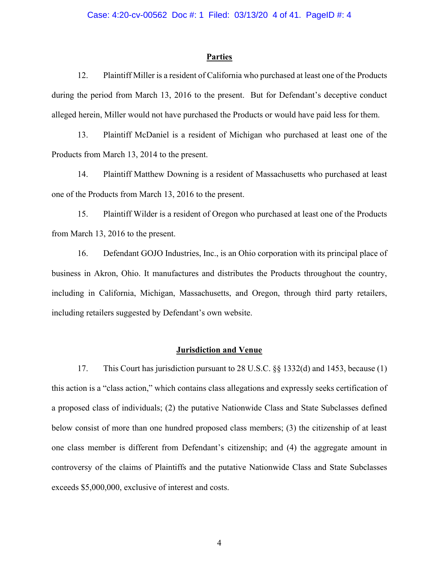## **Parties**

12. Plaintiff Miller is a resident of California who purchased at least one of the Products during the period from March 13, 2016 to the present. But for Defendant's deceptive conduct alleged herein, Miller would not have purchased the Products or would have paid less for them.

13. Plaintiff McDaniel is a resident of Michigan who purchased at least one of the Products from March 13, 2014 to the present.

14. Plaintiff Matthew Downing is a resident of Massachusetts who purchased at least one of the Products from March 13, 2016 to the present.

15. Plaintiff Wilder is a resident of Oregon who purchased at least one of the Products from March 13, 2016 to the present.

16. Defendant GOJO Industries, Inc., is an Ohio corporation with its principal place of business in Akron, Ohio. It manufactures and distributes the Products throughout the country, including in California, Michigan, Massachusetts, and Oregon, through third party retailers, including retailers suggested by Defendant's own website.

## **Jurisdiction and Venue**

17. This Court has jurisdiction pursuant to 28 U.S.C. §§ 1332(d) and 1453, because (1) this action is a "class action," which contains class allegations and expressly seeks certification of a proposed class of individuals; (2) the putative Nationwide Class and State Subclasses defined below consist of more than one hundred proposed class members; (3) the citizenship of at least one class member is different from Defendant's citizenship; and (4) the aggregate amount in controversy of the claims of Plaintiffs and the putative Nationwide Class and State Subclasses exceeds \$5,000,000, exclusive of interest and costs.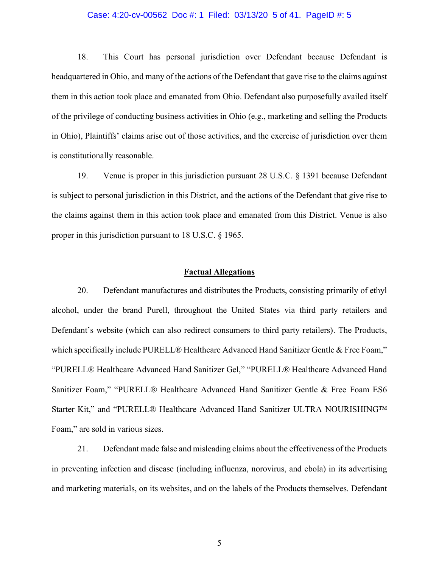#### Case: 4:20-cv-00562 Doc #: 1 Filed: 03/13/20 5 of 41. PageID #: 5

18. This Court has personal jurisdiction over Defendant because Defendant is headquartered in Ohio, and many of the actions of the Defendant that gave rise to the claims against them in this action took place and emanated from Ohio. Defendant also purposefully availed itself of the privilege of conducting business activities in Ohio (e.g., marketing and selling the Products in Ohio), Plaintiffs' claims arise out of those activities, and the exercise of jurisdiction over them is constitutionally reasonable.

19. Venue is proper in this jurisdiction pursuant 28 U.S.C. § 1391 because Defendant is subject to personal jurisdiction in this District, and the actions of the Defendant that give rise to the claims against them in this action took place and emanated from this District. Venue is also proper in this jurisdiction pursuant to 18 U.S.C. § 1965.

# **Factual Allegations**

20. Defendant manufactures and distributes the Products, consisting primarily of ethyl alcohol, under the brand Purell, throughout the United States via third party retailers and Defendant's website (which can also redirect consumers to third party retailers). The Products, which specifically include PURELL® Healthcare Advanced Hand Sanitizer Gentle & Free Foam," "PURELL® Healthcare Advanced Hand Sanitizer Gel," "PURELL® Healthcare Advanced Hand Sanitizer Foam," "PURELL® Healthcare Advanced Hand Sanitizer Gentle & Free Foam ES6 Starter Kit," and "PURELL® Healthcare Advanced Hand Sanitizer ULTRA NOURISHING™ Foam," are sold in various sizes.

21. Defendant made false and misleading claims about the effectiveness of the Products in preventing infection and disease (including influenza, norovirus, and ebola) in its advertising and marketing materials, on its websites, and on the labels of the Products themselves. Defendant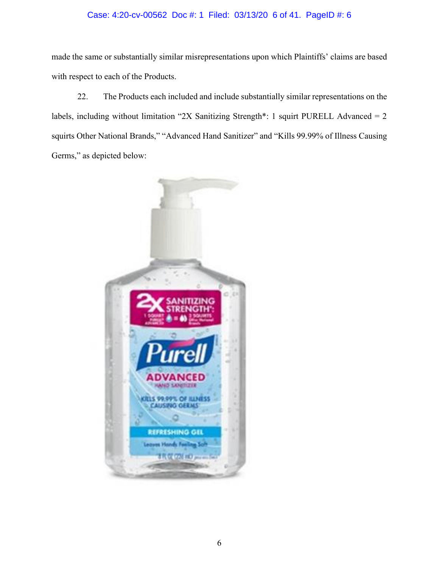# Case: 4:20-cv-00562 Doc #: 1 Filed: 03/13/20 6 of 41. PageID #: 6

made the same or substantially similar misrepresentations upon which Plaintiffs' claims are based with respect to each of the Products.

22. The Products each included and include substantially similar representations on the labels, including without limitation "2X Sanitizing Strength\*: 1 squirt PURELL Advanced =  $2$ squirts Other National Brands," "Advanced Hand Sanitizer" and "Kills 99.99% of Illness Causing Germs," as depicted below:

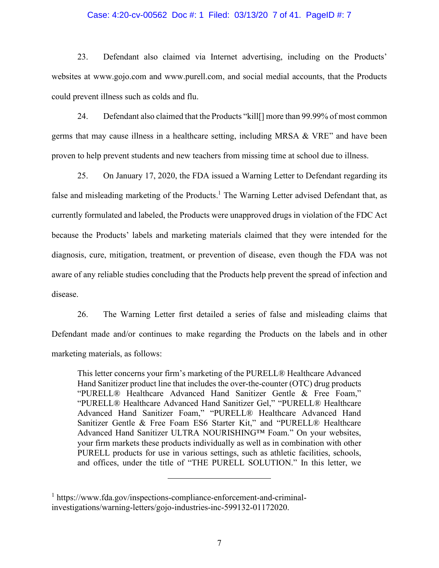#### Case: 4:20-cv-00562 Doc #: 1 Filed: 03/13/20 7 of 41. PageID #: 7

23. Defendant also claimed via Internet advertising, including on the Products' websites at www.gojo.com and www.purell.com, and social medial accounts, that the Products could prevent illness such as colds and flu.

24. Defendant also claimed that the Products "kill[] more than 99.99% of most common germs that may cause illness in a healthcare setting, including MRSA & VRE" and have been proven to help prevent students and new teachers from missing time at school due to illness.

25. On January 17, 2020, the FDA issued a Warning Letter to Defendant regarding its false and misleading marketing of the Products.<sup>1</sup> The Warning Letter advised Defendant that, as currently formulated and labeled, the Products were unapproved drugs in violation of the FDC Act because the Products' labels and marketing materials claimed that they were intended for the diagnosis, cure, mitigation, treatment, or prevention of disease, even though the FDA was not aware of any reliable studies concluding that the Products help prevent the spread of infection and disease.

26. The Warning Letter first detailed a series of false and misleading claims that Defendant made and/or continues to make regarding the Products on the labels and in other marketing materials, as follows:

This letter concerns your firm's marketing of the PURELL® Healthcare Advanced Hand Sanitizer product line that includes the over-the-counter (OTC) drug products "PURELL® Healthcare Advanced Hand Sanitizer Gentle & Free Foam," "PURELL® Healthcare Advanced Hand Sanitizer Gel," "PURELL® Healthcare Advanced Hand Sanitizer Foam," "PURELL® Healthcare Advanced Hand Sanitizer Gentle & Free Foam ES6 Starter Kit," and "PURELL® Healthcare Advanced Hand Sanitizer ULTRA NOURISHING™ Foam." On your websites, your firm markets these products individually as well as in combination with other PURELL products for use in various settings, such as athletic facilities, schools, and offices, under the title of "THE PURELL SOLUTION." In this letter, we

<sup>1</sup> https://www.fda.gov/inspections-compliance-enforcement-and-criminalinvestigations/warning-letters/gojo-industries-inc-599132-01172020.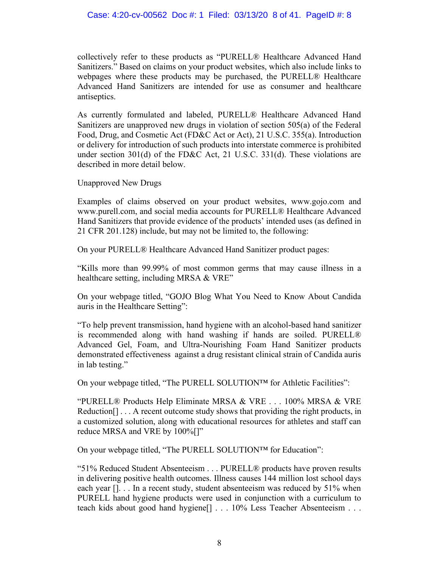# Case: 4:20-cv-00562 Doc #: 1 Filed: 03/13/20 8 of 41. PageID #: 8

collectively refer to these products as "PURELL® Healthcare Advanced Hand Sanitizers." Based on claims on your product websites, which also include links to webpages where these products may be purchased, the PURELL® Healthcare Advanced Hand Sanitizers are intended for use as consumer and healthcare antiseptics.

As currently formulated and labeled, PURELL® Healthcare Advanced Hand Sanitizers are unapproved new drugs in violation of section 505(a) of the Federal Food, Drug, and Cosmetic Act (FD&C Act or Act), 21 U.S.C. 355(a). Introduction or delivery for introduction of such products into interstate commerce is prohibited under section 301(d) of the FD&C Act, 21 U.S.C. 331(d). These violations are described in more detail below.

Unapproved New Drugs

Examples of claims observed on your product websites, www.gojo.com and www.purell.com, and social media accounts for PURELL® Healthcare Advanced Hand Sanitizers that provide evidence of the products' intended uses (as defined in 21 CFR 201.128) include, but may not be limited to, the following:

On your PURELL® Healthcare Advanced Hand Sanitizer product pages:

"Kills more than 99.99% of most common germs that may cause illness in a healthcare setting, including MRSA & VRE"

On your webpage titled, "GOJO Blog What You Need to Know About Candida auris in the Healthcare Setting":

"To help prevent transmission, hand hygiene with an alcohol-based hand sanitizer is recommended along with hand washing if hands are soiled. PURELL® Advanced Gel, Foam, and Ultra-Nourishing Foam Hand Sanitizer products demonstrated effectiveness against a drug resistant clinical strain of Candida auris in lab testing."

On your webpage titled, "The PURELL SOLUTION™ for Athletic Facilities":

"PURELL® Products Help Eliminate MRSA & VRE . . . 100% MRSA & VRE Reduction[] . . . A recent outcome study shows that providing the right products, in a customized solution, along with educational resources for athletes and staff can reduce MRSA and VRE by 100%[]"

On your webpage titled, "The PURELL SOLUTION™ for Education":

"51% Reduced Student Absenteeism . . . PURELL® products have proven results in delivering positive health outcomes. Illness causes 144 million lost school days each year  $[]$ ... In a recent study, student absenteeism was reduced by 51% when PURELL hand hygiene products were used in conjunction with a curriculum to teach kids about good hand hygiene[] . . . 10% Less Teacher Absenteeism . . .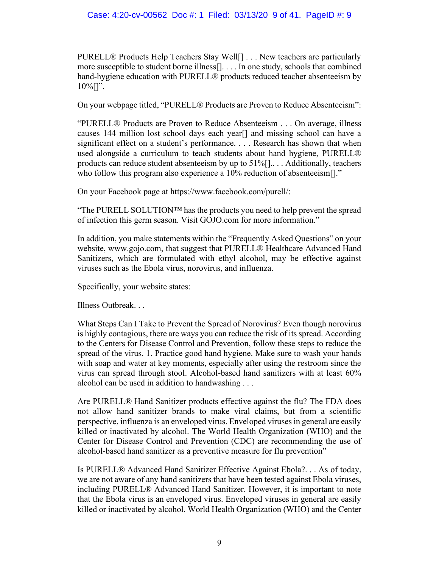PURELL® Products Help Teachers Stay Well<sup>[]</sup> . . . New teachers are particularly more susceptible to student borne illness[]. . . . In one study, schools that combined hand-hygiene education with PURELL® products reduced teacher absenteeism by  $10\%$ []".

On your webpage titled, "PURELL® Products are Proven to Reduce Absenteeism":

"PURELL® Products are Proven to Reduce Absenteeism . . . On average, illness causes 144 million lost school days each year[] and missing school can have a significant effect on a student's performance. . . . Research has shown that when used alongside a curriculum to teach students about hand hygiene, PURELL® products can reduce student absenteeism by up to 51%[].. . . Additionally, teachers who follow this program also experience a 10% reduction of absenteeism.<sup>71</sup>.

On your Facebook page at https://www.facebook.com/purell/:

"The PURELL SOLUTION<sup>™</sup> has the products you need to help prevent the spread of infection this germ season. Visit GOJO.com for more information."

In addition, you make statements within the "Frequently Asked Questions" on your website, www.gojo.com, that suggest that PURELL® Healthcare Advanced Hand Sanitizers, which are formulated with ethyl alcohol, may be effective against viruses such as the Ebola virus, norovirus, and influenza.

Specifically, your website states:

Illness Outbreak. . .

What Steps Can I Take to Prevent the Spread of Norovirus? Even though norovirus is highly contagious, there are ways you can reduce the risk of its spread. According to the Centers for Disease Control and Prevention, follow these steps to reduce the spread of the virus. 1. Practice good hand hygiene. Make sure to wash your hands with soap and water at key moments, especially after using the restroom since the virus can spread through stool. Alcohol-based hand sanitizers with at least 60% alcohol can be used in addition to handwashing . . .

Are PURELL® Hand Sanitizer products effective against the flu? The FDA does not allow hand sanitizer brands to make viral claims, but from a scientific perspective, influenza is an enveloped virus. Enveloped viruses in general are easily killed or inactivated by alcohol. The World Health Organization (WHO) and the Center for Disease Control and Prevention (CDC) are recommending the use of alcohol-based hand sanitizer as a preventive measure for flu prevention"

Is PURELL® Advanced Hand Sanitizer Effective Against Ebola?. . . As of today, we are not aware of any hand sanitizers that have been tested against Ebola viruses, including PURELL® Advanced Hand Sanitizer. However, it is important to note that the Ebola virus is an enveloped virus. Enveloped viruses in general are easily killed or inactivated by alcohol. World Health Organization (WHO) and the Center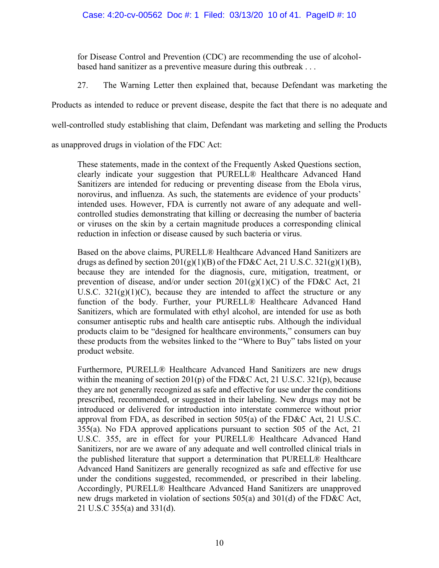for Disease Control and Prevention (CDC) are recommending the use of alcoholbased hand sanitizer as a preventive measure during this outbreak . . .

27. The Warning Letter then explained that, because Defendant was marketing the

Products as intended to reduce or prevent disease, despite the fact that there is no adequate and

well-controlled study establishing that claim, Defendant was marketing and selling the Products

as unapproved drugs in violation of the FDC Act:

These statements, made in the context of the Frequently Asked Questions section, clearly indicate your suggestion that PURELL® Healthcare Advanced Hand Sanitizers are intended for reducing or preventing disease from the Ebola virus, norovirus, and influenza. As such, the statements are evidence of your products' intended uses. However, FDA is currently not aware of any adequate and wellcontrolled studies demonstrating that killing or decreasing the number of bacteria or viruses on the skin by a certain magnitude produces a corresponding clinical reduction in infection or disease caused by such bacteria or virus.

Based on the above claims, PURELL® Healthcare Advanced Hand Sanitizers are drugs as defined by section  $201(g)(1)(B)$  of the FD&C Act, 21 U.S.C.  $321(g)(1)(B)$ , because they are intended for the diagnosis, cure, mitigation, treatment, or prevention of disease, and/or under section  $201(g)(1)(C)$  of the FD&C Act, 21 U.S.C.  $321(g)(1)(C)$ , because they are intended to affect the structure or any function of the body. Further, your PURELL® Healthcare Advanced Hand Sanitizers, which are formulated with ethyl alcohol, are intended for use as both consumer antiseptic rubs and health care antiseptic rubs. Although the individual products claim to be "designed for healthcare environments," consumers can buy these products from the websites linked to the "Where to Buy" tabs listed on your product website.

Furthermore, PURELL® Healthcare Advanced Hand Sanitizers are new drugs within the meaning of section  $201(p)$  of the FD&C Act, 21 U.S.C.  $321(p)$ , because they are not generally recognized as safe and effective for use under the conditions prescribed, recommended, or suggested in their labeling. New drugs may not be introduced or delivered for introduction into interstate commerce without prior approval from FDA, as described in section 505(a) of the FD&C Act, 21 U.S.C. 355(a). No FDA approved applications pursuant to section 505 of the Act, 21 U.S.C. 355, are in effect for your PURELL® Healthcare Advanced Hand Sanitizers, nor are we aware of any adequate and well controlled clinical trials in the published literature that support a determination that PURELL® Healthcare Advanced Hand Sanitizers are generally recognized as safe and effective for use under the conditions suggested, recommended, or prescribed in their labeling. Accordingly, PURELL® Healthcare Advanced Hand Sanitizers are unapproved new drugs marketed in violation of sections 505(a) and 301(d) of the FD&C Act, 21 U.S.C 355(a) and 331(d).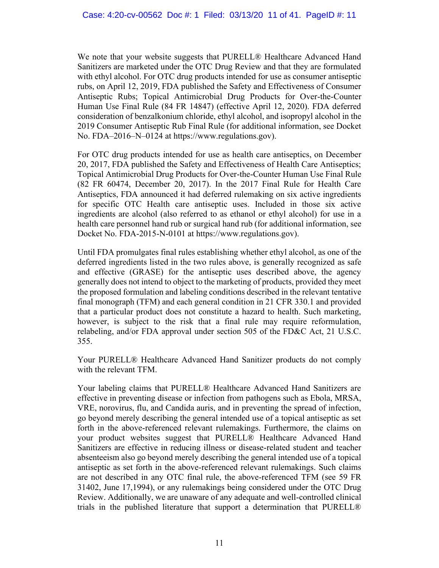We note that your website suggests that PURELL<sup>®</sup> Healthcare Advanced Hand Sanitizers are marketed under the OTC Drug Review and that they are formulated with ethyl alcohol. For OTC drug products intended for use as consumer antiseptic rubs, on April 12, 2019, FDA published the Safety and Effectiveness of Consumer Antiseptic Rubs; Topical Antimicrobial Drug Products for Over-the-Counter Human Use Final Rule (84 FR 14847) (effective April 12, 2020). FDA deferred consideration of benzalkonium chloride, ethyl alcohol, and isopropyl alcohol in the 2019 Consumer Antiseptic Rub Final Rule (for additional information, see Docket No. FDA–2016–N–0124 at https://www.regulations.gov).

For OTC drug products intended for use as health care antiseptics, on December 20, 2017, FDA published the Safety and Effectiveness of Health Care Antiseptics; Topical Antimicrobial Drug Products for Over-the-Counter Human Use Final Rule (82 FR 60474, December 20, 2017). In the 2017 Final Rule for Health Care Antiseptics, FDA announced it had deferred rulemaking on six active ingredients for specific OTC Health care antiseptic uses. Included in those six active ingredients are alcohol (also referred to as ethanol or ethyl alcohol) for use in a health care personnel hand rub or surgical hand rub (for additional information, see Docket No. FDA-2015-N-0101 at https://www.regulations.gov).

Until FDA promulgates final rules establishing whether ethyl alcohol, as one of the deferred ingredients listed in the two rules above, is generally recognized as safe and effective (GRASE) for the antiseptic uses described above, the agency generally does not intend to object to the marketing of products, provided they meet the proposed formulation and labeling conditions described in the relevant tentative final monograph (TFM) and each general condition in 21 CFR 330.1 and provided that a particular product does not constitute a hazard to health. Such marketing, however, is subject to the risk that a final rule may require reformulation, relabeling, and/or FDA approval under section 505 of the FD&C Act, 21 U.S.C. 355.

Your PURELL® Healthcare Advanced Hand Sanitizer products do not comply with the relevant TFM.

Your labeling claims that PURELL® Healthcare Advanced Hand Sanitizers are effective in preventing disease or infection from pathogens such as Ebola, MRSA, VRE, norovirus, flu, and Candida auris, and in preventing the spread of infection, go beyond merely describing the general intended use of a topical antiseptic as set forth in the above-referenced relevant rulemakings. Furthermore, the claims on your product websites suggest that PURELL® Healthcare Advanced Hand Sanitizers are effective in reducing illness or disease-related student and teacher absenteeism also go beyond merely describing the general intended use of a topical antiseptic as set forth in the above-referenced relevant rulemakings. Such claims are not described in any OTC final rule, the above-referenced TFM (see 59 FR 31402, June 17,1994), or any rulemakings being considered under the OTC Drug Review. Additionally, we are unaware of any adequate and well-controlled clinical trials in the published literature that support a determination that PURELL®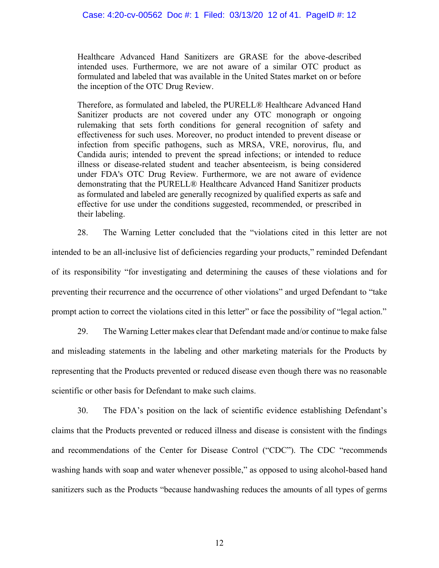## Case: 4:20-cv-00562 Doc #: 1 Filed: 03/13/20 12 of 41. PageID #: 12

Healthcare Advanced Hand Sanitizers are GRASE for the above-described intended uses. Furthermore, we are not aware of a similar OTC product as formulated and labeled that was available in the United States market on or before the inception of the OTC Drug Review.

Therefore, as formulated and labeled, the PURELL® Healthcare Advanced Hand Sanitizer products are not covered under any OTC monograph or ongoing rulemaking that sets forth conditions for general recognition of safety and effectiveness for such uses. Moreover, no product intended to prevent disease or infection from specific pathogens, such as MRSA, VRE, norovirus, flu, and Candida auris; intended to prevent the spread infections; or intended to reduce illness or disease-related student and teacher absenteeism, is being considered under FDA's OTC Drug Review. Furthermore, we are not aware of evidence demonstrating that the PURELL® Healthcare Advanced Hand Sanitizer products as formulated and labeled are generally recognized by qualified experts as safe and effective for use under the conditions suggested, recommended, or prescribed in their labeling.

28. The Warning Letter concluded that the "violations cited in this letter are not intended to be an all-inclusive list of deficiencies regarding your products," reminded Defendant of its responsibility "for investigating and determining the causes of these violations and for preventing their recurrence and the occurrence of other violations" and urged Defendant to "take prompt action to correct the violations cited in this letter" or face the possibility of "legal action."

29. The Warning Letter makes clear that Defendant made and/or continue to make false and misleading statements in the labeling and other marketing materials for the Products by representing that the Products prevented or reduced disease even though there was no reasonable scientific or other basis for Defendant to make such claims.

30. The FDA's position on the lack of scientific evidence establishing Defendant's claims that the Products prevented or reduced illness and disease is consistent with the findings and recommendations of the Center for Disease Control ("CDC"). The CDC "recommends washing hands with soap and water whenever possible," as opposed to using alcohol-based hand sanitizers such as the Products "because handwashing reduces the amounts of all types of germs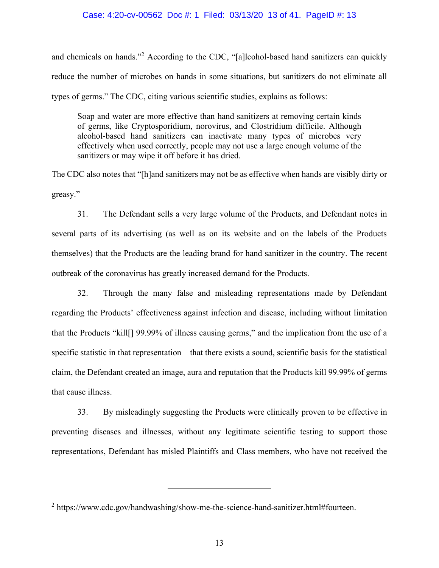### Case: 4:20-cv-00562 Doc #: 1 Filed: 03/13/20 13 of 41. PageID #: 13

and chemicals on hands."<sup>2</sup> According to the CDC, "[a]lcohol-based hand sanitizers can quickly reduce the number of microbes on hands in some situations, but sanitizers do not eliminate all types of germs." The CDC, citing various scientific studies, explains as follows:

Soap and water are more effective than hand sanitizers at removing certain kinds of germs, like Cryptosporidium, norovirus, and Clostridium difficile. Although alcohol-based hand sanitizers can inactivate many types of microbes very effectively when used correctly, people may not use a large enough volume of the sanitizers or may wipe it off before it has dried.

The CDC also notes that "[h]and sanitizers may not be as effective when hands are visibly dirty or greasy."

31. The Defendant sells a very large volume of the Products, and Defendant notes in several parts of its advertising (as well as on its website and on the labels of the Products themselves) that the Products are the leading brand for hand sanitizer in the country. The recent outbreak of the coronavirus has greatly increased demand for the Products.

32. Through the many false and misleading representations made by Defendant regarding the Products' effectiveness against infection and disease, including without limitation that the Products "kill[] 99.99% of illness causing germs," and the implication from the use of a specific statistic in that representation—that there exists a sound, scientific basis for the statistical claim, the Defendant created an image, aura and reputation that the Products kill 99.99% of germs that cause illness.

33. By misleadingly suggesting the Products were clinically proven to be effective in preventing diseases and illnesses, without any legitimate scientific testing to support those representations, Defendant has misled Plaintiffs and Class members, who have not received the

<sup>&</sup>lt;sup>2</sup> https://www.cdc.gov/handwashing/show-me-the-science-hand-sanitizer.html#fourteen.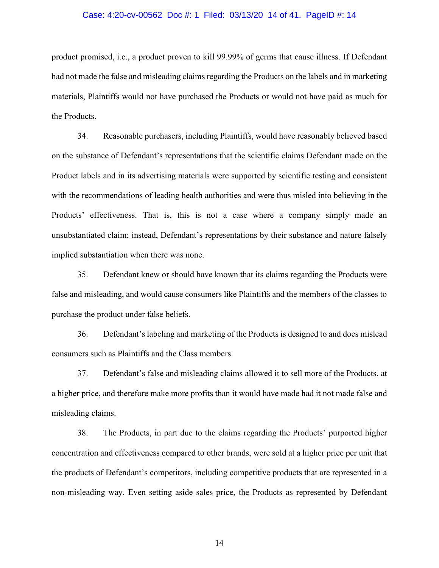#### Case: 4:20-cv-00562 Doc #: 1 Filed: 03/13/20 14 of 41. PageID #: 14

product promised, i.e., a product proven to kill 99.99% of germs that cause illness. If Defendant had not made the false and misleading claims regarding the Products on the labels and in marketing materials, Plaintiffs would not have purchased the Products or would not have paid as much for the Products.

34. Reasonable purchasers, including Plaintiffs, would have reasonably believed based on the substance of Defendant's representations that the scientific claims Defendant made on the Product labels and in its advertising materials were supported by scientific testing and consistent with the recommendations of leading health authorities and were thus misled into believing in the Products' effectiveness. That is, this is not a case where a company simply made an unsubstantiated claim; instead, Defendant's representations by their substance and nature falsely implied substantiation when there was none.

35. Defendant knew or should have known that its claims regarding the Products were false and misleading, and would cause consumers like Plaintiffs and the members of the classes to purchase the product under false beliefs.

36. Defendant's labeling and marketing of the Products is designed to and does mislead consumers such as Plaintiffs and the Class members.

37. Defendant's false and misleading claims allowed it to sell more of the Products, at a higher price, and therefore make more profits than it would have made had it not made false and misleading claims.

38. The Products, in part due to the claims regarding the Products' purported higher concentration and effectiveness compared to other brands, were sold at a higher price per unit that the products of Defendant's competitors, including competitive products that are represented in a non-misleading way. Even setting aside sales price, the Products as represented by Defendant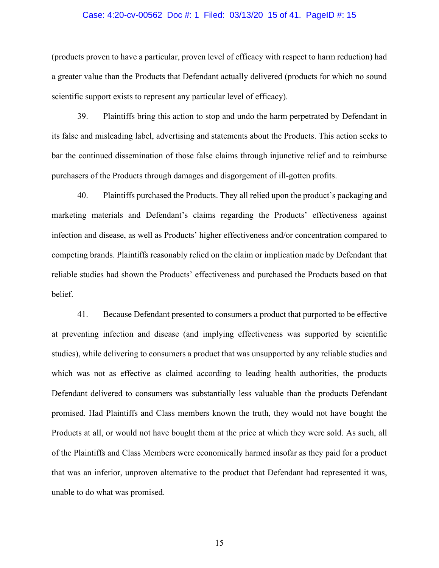#### Case: 4:20-cv-00562 Doc #: 1 Filed: 03/13/20 15 of 41. PageID #: 15

(products proven to have a particular, proven level of efficacy with respect to harm reduction) had a greater value than the Products that Defendant actually delivered (products for which no sound scientific support exists to represent any particular level of efficacy).

39. Plaintiffs bring this action to stop and undo the harm perpetrated by Defendant in its false and misleading label, advertising and statements about the Products. This action seeks to bar the continued dissemination of those false claims through injunctive relief and to reimburse purchasers of the Products through damages and disgorgement of ill-gotten profits.

40. Plaintiffs purchased the Products. They all relied upon the product's packaging and marketing materials and Defendant's claims regarding the Products' effectiveness against infection and disease, as well as Products' higher effectiveness and/or concentration compared to competing brands. Plaintiffs reasonably relied on the claim or implication made by Defendant that reliable studies had shown the Products' effectiveness and purchased the Products based on that belief.

41. Because Defendant presented to consumers a product that purported to be effective at preventing infection and disease (and implying effectiveness was supported by scientific studies), while delivering to consumers a product that was unsupported by any reliable studies and which was not as effective as claimed according to leading health authorities, the products Defendant delivered to consumers was substantially less valuable than the products Defendant promised. Had Plaintiffs and Class members known the truth, they would not have bought the Products at all, or would not have bought them at the price at which they were sold. As such, all of the Plaintiffs and Class Members were economically harmed insofar as they paid for a product that was an inferior, unproven alternative to the product that Defendant had represented it was, unable to do what was promised.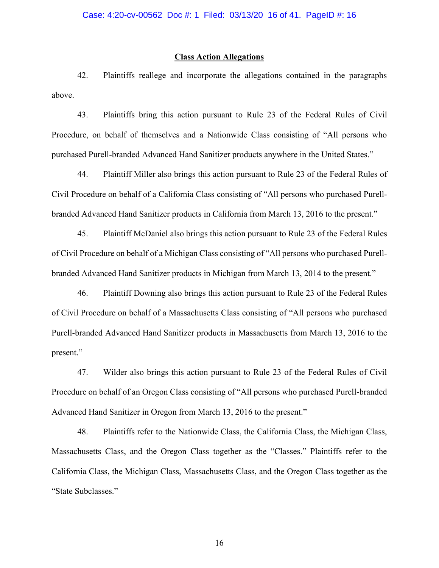## **Class Action Allegations**

42. Plaintiffs reallege and incorporate the allegations contained in the paragraphs above.

43. Plaintiffs bring this action pursuant to Rule 23 of the Federal Rules of Civil Procedure, on behalf of themselves and a Nationwide Class consisting of "All persons who purchased Purell-branded Advanced Hand Sanitizer products anywhere in the United States."

44. Plaintiff Miller also brings this action pursuant to Rule 23 of the Federal Rules of Civil Procedure on behalf of a California Class consisting of "All persons who purchased Purellbranded Advanced Hand Sanitizer products in California from March 13, 2016 to the present."

45. Plaintiff McDaniel also brings this action pursuant to Rule 23 of the Federal Rules of Civil Procedure on behalf of a Michigan Class consisting of "All persons who purchased Purellbranded Advanced Hand Sanitizer products in Michigan from March 13, 2014 to the present."

46. Plaintiff Downing also brings this action pursuant to Rule 23 of the Federal Rules of Civil Procedure on behalf of a Massachusetts Class consisting of "All persons who purchased Purell-branded Advanced Hand Sanitizer products in Massachusetts from March 13, 2016 to the present."

47. Wilder also brings this action pursuant to Rule 23 of the Federal Rules of Civil Procedure on behalf of an Oregon Class consisting of "All persons who purchased Purell-branded Advanced Hand Sanitizer in Oregon from March 13, 2016 to the present."

48. Plaintiffs refer to the Nationwide Class, the California Class, the Michigan Class, Massachusetts Class, and the Oregon Class together as the "Classes." Plaintiffs refer to the California Class, the Michigan Class, Massachusetts Class, and the Oregon Class together as the "State Subclasses."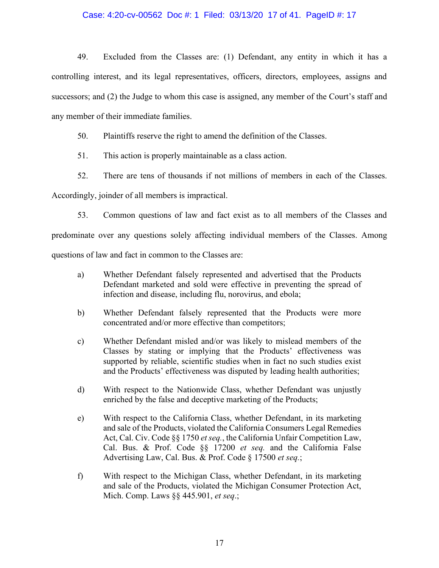# Case: 4:20-cv-00562 Doc #: 1 Filed: 03/13/20 17 of 41. PageID #: 17

49. Excluded from the Classes are: (1) Defendant, any entity in which it has a controlling interest, and its legal representatives, officers, directors, employees, assigns and successors; and (2) the Judge to whom this case is assigned, any member of the Court's staff and any member of their immediate families.

50. Plaintiffs reserve the right to amend the definition of the Classes.

51. This action is properly maintainable as a class action.

52. There are tens of thousands if not millions of members in each of the Classes.

Accordingly, joinder of all members is impractical.

53. Common questions of law and fact exist as to all members of the Classes and predominate over any questions solely affecting individual members of the Classes. Among questions of law and fact in common to the Classes are:

- a) Whether Defendant falsely represented and advertised that the Products Defendant marketed and sold were effective in preventing the spread of infection and disease, including flu, norovirus, and ebola;
- b) Whether Defendant falsely represented that the Products were more concentrated and/or more effective than competitors;
- c) Whether Defendant misled and/or was likely to mislead members of the Classes by stating or implying that the Products' effectiveness was supported by reliable, scientific studies when in fact no such studies exist and the Products' effectiveness was disputed by leading health authorities;
- d) With respect to the Nationwide Class, whether Defendant was unjustly enriched by the false and deceptive marketing of the Products;
- e) With respect to the California Class, whether Defendant, in its marketing and sale of the Products, violated the California Consumers Legal Remedies Act, Cal. Civ. Code §§ 1750 *et seq.*, the California Unfair Competition Law, Cal. Bus. & Prof. Code §§ 17200 *et seq.* and the California False Advertising Law, Cal. Bus. & Prof. Code § 17500 *et seq.*;
- f) With respect to the Michigan Class, whether Defendant, in its marketing and sale of the Products, violated the Michigan Consumer Protection Act, Mich. Comp. Laws §§ 445.901, *et seq*.;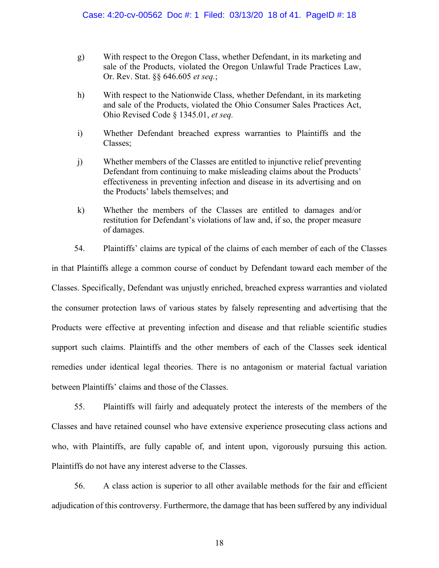- g) With respect to the Oregon Class, whether Defendant, in its marketing and sale of the Products, violated the Oregon Unlawful Trade Practices Law, Or. Rev. Stat. §§ 646.605 *et seq.*;
- h) With respect to the Nationwide Class, whether Defendant, in its marketing and sale of the Products, violated the Ohio Consumer Sales Practices Act, Ohio Revised Code § 1345.01, *et seq.*
- i) Whether Defendant breached express warranties to Plaintiffs and the Classes;
- j) Whether members of the Classes are entitled to injunctive relief preventing Defendant from continuing to make misleading claims about the Products' effectiveness in preventing infection and disease in its advertising and on the Products' labels themselves; and
- k) Whether the members of the Classes are entitled to damages and/or restitution for Defendant's violations of law and, if so, the proper measure of damages.

54. Plaintiffs' claims are typical of the claims of each member of each of the Classes in that Plaintiffs allege a common course of conduct by Defendant toward each member of the Classes. Specifically, Defendant was unjustly enriched, breached express warranties and violated the consumer protection laws of various states by falsely representing and advertising that the Products were effective at preventing infection and disease and that reliable scientific studies support such claims. Plaintiffs and the other members of each of the Classes seek identical remedies under identical legal theories. There is no antagonism or material factual variation between Plaintiffs' claims and those of the Classes.

55. Plaintiffs will fairly and adequately protect the interests of the members of the Classes and have retained counsel who have extensive experience prosecuting class actions and who, with Plaintiffs, are fully capable of, and intent upon, vigorously pursuing this action. Plaintiffs do not have any interest adverse to the Classes.

56. A class action is superior to all other available methods for the fair and efficient adjudication of this controversy. Furthermore, the damage that has been suffered by any individual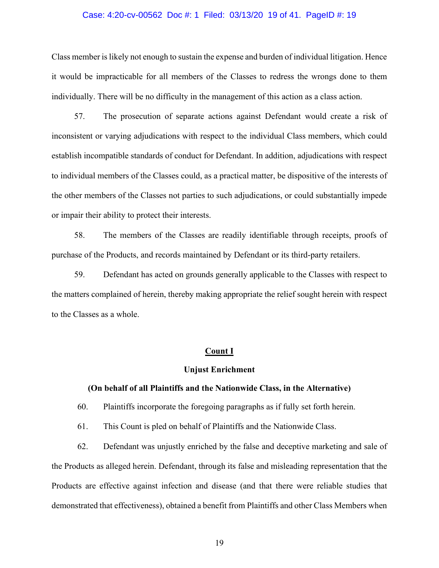#### Case: 4:20-cv-00562 Doc #: 1 Filed: 03/13/20 19 of 41. PageID #: 19

Class member is likely not enough to sustain the expense and burden of individual litigation. Hence it would be impracticable for all members of the Classes to redress the wrongs done to them individually. There will be no difficulty in the management of this action as a class action.

57. The prosecution of separate actions against Defendant would create a risk of inconsistent or varying adjudications with respect to the individual Class members, which could establish incompatible standards of conduct for Defendant. In addition, adjudications with respect to individual members of the Classes could, as a practical matter, be dispositive of the interests of the other members of the Classes not parties to such adjudications, or could substantially impede or impair their ability to protect their interests.

58. The members of the Classes are readily identifiable through receipts, proofs of purchase of the Products, and records maintained by Defendant or its third-party retailers.

59. Defendant has acted on grounds generally applicable to the Classes with respect to the matters complained of herein, thereby making appropriate the relief sought herein with respect to the Classes as a whole.

# **Count I**

### **Unjust Enrichment**

## **(On behalf of all Plaintiffs and the Nationwide Class, in the Alternative)**

60. Plaintiffs incorporate the foregoing paragraphs as if fully set forth herein.

61. This Count is pled on behalf of Plaintiffs and the Nationwide Class.

62. Defendant was unjustly enriched by the false and deceptive marketing and sale of the Products as alleged herein. Defendant, through its false and misleading representation that the Products are effective against infection and disease (and that there were reliable studies that demonstrated that effectiveness), obtained a benefit from Plaintiffs and other Class Members when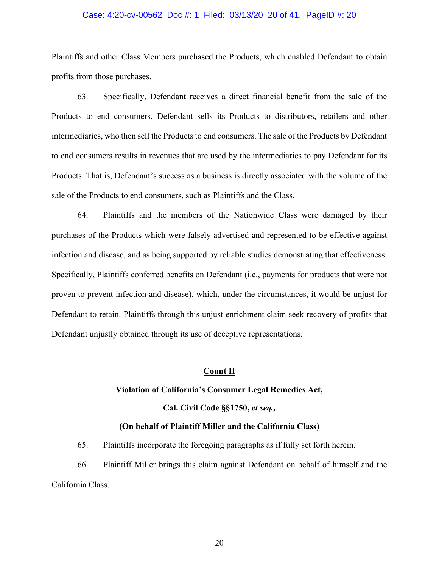#### Case: 4:20-cv-00562 Doc #: 1 Filed: 03/13/20 20 of 41. PageID #: 20

Plaintiffs and other Class Members purchased the Products, which enabled Defendant to obtain profits from those purchases.

63. Specifically, Defendant receives a direct financial benefit from the sale of the Products to end consumers. Defendant sells its Products to distributors, retailers and other intermediaries, who then sell the Products to end consumers. The sale of the Products by Defendant to end consumers results in revenues that are used by the intermediaries to pay Defendant for its Products. That is, Defendant's success as a business is directly associated with the volume of the sale of the Products to end consumers, such as Plaintiffs and the Class.

64. Plaintiffs and the members of the Nationwide Class were damaged by their purchases of the Products which were falsely advertised and represented to be effective against infection and disease, and as being supported by reliable studies demonstrating that effectiveness. Specifically, Plaintiffs conferred benefits on Defendant (i.e., payments for products that were not proven to prevent infection and disease), which, under the circumstances, it would be unjust for Defendant to retain. Plaintiffs through this unjust enrichment claim seek recovery of profits that Defendant unjustly obtained through its use of deceptive representations.

# **Count II**

# **Violation of California's Consumer Legal Remedies Act,**

**Cal. Civil Code §§1750,** *et seq.,*

# **(On behalf of Plaintiff Miller and the California Class)**

65. Plaintiffs incorporate the foregoing paragraphs as if fully set forth herein.

66. Plaintiff Miller brings this claim against Defendant on behalf of himself and the California Class.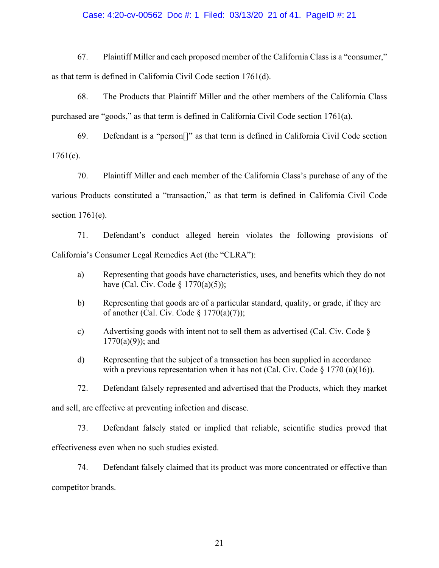## Case: 4:20-cv-00562 Doc #: 1 Filed: 03/13/20 21 of 41. PageID #: 21

67. Plaintiff Miller and each proposed member of the California Class is a "consumer," as that term is defined in California Civil Code section 1761(d).

68. The Products that Plaintiff Miller and the other members of the California Class purchased are "goods," as that term is defined in California Civil Code section 1761(a).

69. Defendant is a "person[]" as that term is defined in California Civil Code section  $1761(c)$ .

70. Plaintiff Miller and each member of the California Class's purchase of any of the various Products constituted a "transaction," as that term is defined in California Civil Code section  $1761(e)$ .

71. Defendant's conduct alleged herein violates the following provisions of California's Consumer Legal Remedies Act (the "CLRA"):

- a) Representing that goods have characteristics, uses, and benefits which they do not have (Cal. Civ. Code  $\S$  1770(a)(5));
- b) Representing that goods are of a particular standard, quality, or grade, if they are of another (Cal. Civ. Code  $\S$  1770(a)(7));
- c) Advertising goods with intent not to sell them as advertised (Cal. Civ. Code §  $1770(a)(9)$ ; and
- d) Representing that the subject of a transaction has been supplied in accordance with a previous representation when it has not (Cal. Civ. Code  $\S 1770$  (a)(16)).

72. Defendant falsely represented and advertised that the Products, which they market

and sell, are effective at preventing infection and disease.

73. Defendant falsely stated or implied that reliable, scientific studies proved that effectiveness even when no such studies existed.

74. Defendant falsely claimed that its product was more concentrated or effective than

competitor brands.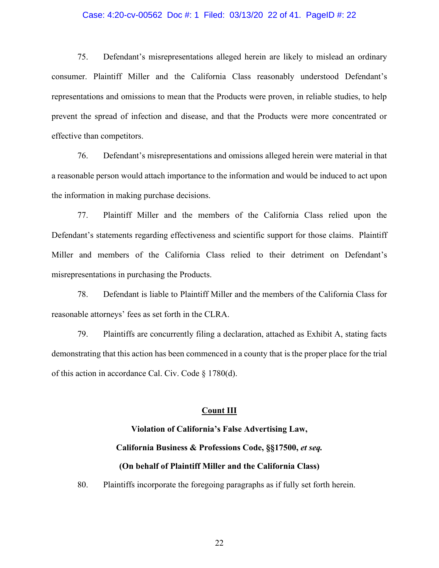#### Case: 4:20-cv-00562 Doc #: 1 Filed: 03/13/20 22 of 41. PageID #: 22

75. Defendant's misrepresentations alleged herein are likely to mislead an ordinary consumer. Plaintiff Miller and the California Class reasonably understood Defendant's representations and omissions to mean that the Products were proven, in reliable studies, to help prevent the spread of infection and disease, and that the Products were more concentrated or effective than competitors.

76. Defendant's misrepresentations and omissions alleged herein were material in that a reasonable person would attach importance to the information and would be induced to act upon the information in making purchase decisions.

77. Plaintiff Miller and the members of the California Class relied upon the Defendant's statements regarding effectiveness and scientific support for those claims. Plaintiff Miller and members of the California Class relied to their detriment on Defendant's misrepresentations in purchasing the Products.

78. Defendant is liable to Plaintiff Miller and the members of the California Class for reasonable attorneys' fees as set forth in the CLRA.

79. Plaintiffs are concurrently filing a declaration, attached as Exhibit A, stating facts demonstrating that this action has been commenced in a county that is the proper place for the trial of this action in accordance Cal. Civ. Code § 1780(d).

# **Count III**

# **Violation of California's False Advertising Law, California Business & Professions Code, §§17500,** *et seq.* **(On behalf of Plaintiff Miller and the California Class)**

80. Plaintiffs incorporate the foregoing paragraphs as if fully set forth herein.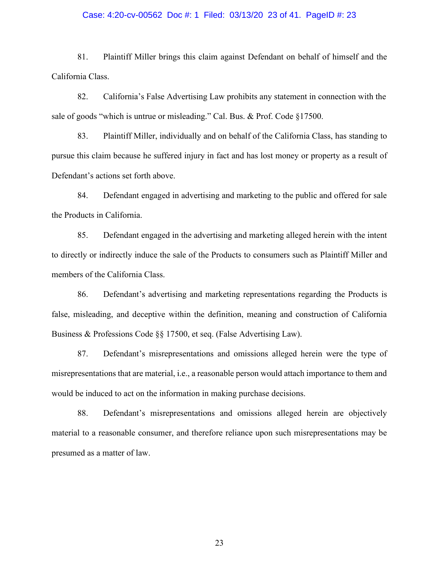### Case: 4:20-cv-00562 Doc #: 1 Filed: 03/13/20 23 of 41. PageID #: 23

81. Plaintiff Miller brings this claim against Defendant on behalf of himself and the California Class.

82. California's False Advertising Law prohibits any statement in connection with the sale of goods "which is untrue or misleading." Cal. Bus. & Prof. Code §17500.

83. Plaintiff Miller, individually and on behalf of the California Class, has standing to pursue this claim because he suffered injury in fact and has lost money or property as a result of Defendant's actions set forth above.

84. Defendant engaged in advertising and marketing to the public and offered for sale the Products in California.

85. Defendant engaged in the advertising and marketing alleged herein with the intent to directly or indirectly induce the sale of the Products to consumers such as Plaintiff Miller and members of the California Class.

86. Defendant's advertising and marketing representations regarding the Products is false, misleading, and deceptive within the definition, meaning and construction of California Business & Professions Code §§ 17500, et seq. (False Advertising Law).

87. Defendant's misrepresentations and omissions alleged herein were the type of misrepresentations that are material, i.e., a reasonable person would attach importance to them and would be induced to act on the information in making purchase decisions.

88. Defendant's misrepresentations and omissions alleged herein are objectively material to a reasonable consumer, and therefore reliance upon such misrepresentations may be presumed as a matter of law.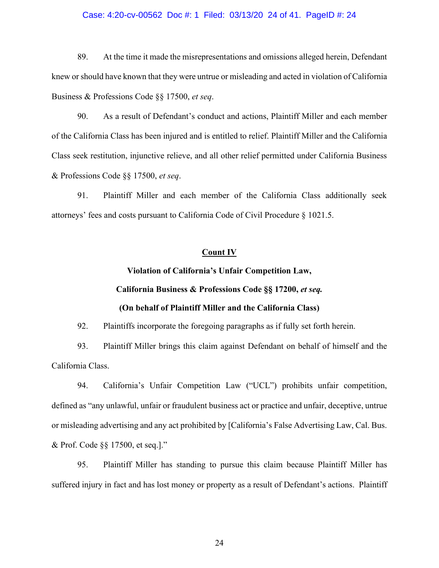#### Case: 4:20-cv-00562 Doc #: 1 Filed: 03/13/20 24 of 41. PageID #: 24

89. At the time it made the misrepresentations and omissions alleged herein, Defendant knew or should have known that they were untrue or misleading and acted in violation of California Business & Professions Code §§ 17500, *et seq*.

90. As a result of Defendant's conduct and actions, Plaintiff Miller and each member of the California Class has been injured and is entitled to relief. Plaintiff Miller and the California Class seek restitution, injunctive relieve, and all other relief permitted under California Business & Professions Code §§ 17500, *et seq*.

91. Plaintiff Miller and each member of the California Class additionally seek attorneys' fees and costs pursuant to California Code of Civil Procedure § 1021.5.

# **Count IV**

# **Violation of California's Unfair Competition Law, California Business & Professions Code §§ 17200,** *et seq.* **(On behalf of Plaintiff Miller and the California Class)**

92. Plaintiffs incorporate the foregoing paragraphs as if fully set forth herein.

93. Plaintiff Miller brings this claim against Defendant on behalf of himself and the California Class.

94. California's Unfair Competition Law ("UCL") prohibits unfair competition, defined as "any unlawful, unfair or fraudulent business act or practice and unfair, deceptive, untrue or misleading advertising and any act prohibited by [California's False Advertising Law, Cal. Bus. & Prof. Code §§ 17500, et seq.]."

95. Plaintiff Miller has standing to pursue this claim because Plaintiff Miller has suffered injury in fact and has lost money or property as a result of Defendant's actions. Plaintiff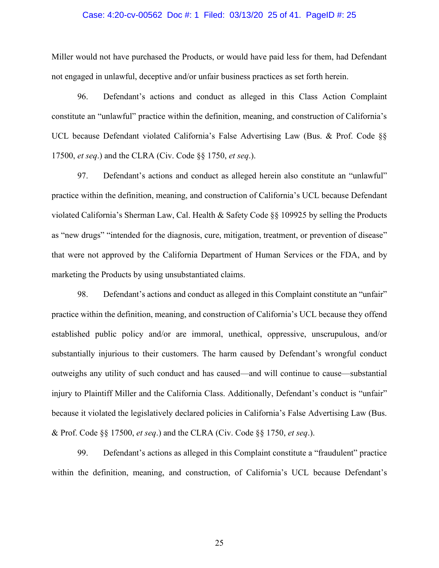#### Case: 4:20-cv-00562 Doc #: 1 Filed: 03/13/20 25 of 41. PageID #: 25

Miller would not have purchased the Products, or would have paid less for them, had Defendant not engaged in unlawful, deceptive and/or unfair business practices as set forth herein.

96. Defendant's actions and conduct as alleged in this Class Action Complaint constitute an "unlawful" practice within the definition, meaning, and construction of California's UCL because Defendant violated California's False Advertising Law (Bus. & Prof. Code §§ 17500, *et seq*.) and the CLRA (Civ. Code §§ 1750, *et seq*.).

97. Defendant's actions and conduct as alleged herein also constitute an "unlawful" practice within the definition, meaning, and construction of California's UCL because Defendant violated California's Sherman Law, Cal. Health & Safety Code §§ 109925 by selling the Products as "new drugs" "intended for the diagnosis, cure, mitigation, treatment, or prevention of disease" that were not approved by the California Department of Human Services or the FDA, and by marketing the Products by using unsubstantiated claims.

98. Defendant's actions and conduct as alleged in this Complaint constitute an "unfair" practice within the definition, meaning, and construction of California's UCL because they offend established public policy and/or are immoral, unethical, oppressive, unscrupulous, and/or substantially injurious to their customers. The harm caused by Defendant's wrongful conduct outweighs any utility of such conduct and has caused—and will continue to cause—substantial injury to Plaintiff Miller and the California Class. Additionally, Defendant's conduct is "unfair" because it violated the legislatively declared policies in California's False Advertising Law (Bus. & Prof. Code §§ 17500, *et seq*.) and the CLRA (Civ. Code §§ 1750, *et seq*.).

99. Defendant's actions as alleged in this Complaint constitute a "fraudulent" practice within the definition, meaning, and construction, of California's UCL because Defendant's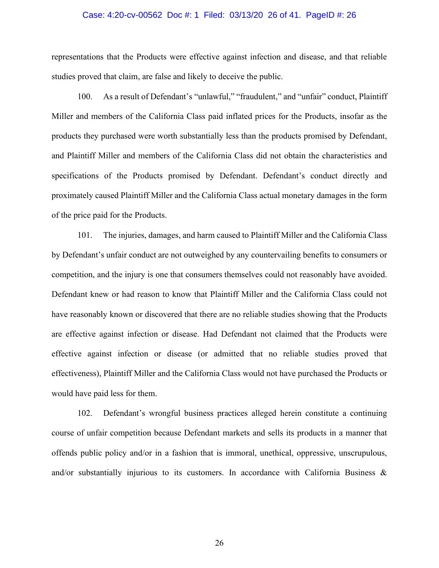#### Case: 4:20-cv-00562 Doc #: 1 Filed: 03/13/20 26 of 41. PageID #: 26

representations that the Products were effective against infection and disease, and that reliable studies proved that claim, are false and likely to deceive the public.

100. As a result of Defendant's "unlawful," "fraudulent," and "unfair" conduct, Plaintiff Miller and members of the California Class paid inflated prices for the Products, insofar as the products they purchased were worth substantially less than the products promised by Defendant, and Plaintiff Miller and members of the California Class did not obtain the characteristics and specifications of the Products promised by Defendant. Defendant's conduct directly and proximately caused Plaintiff Miller and the California Class actual monetary damages in the form of the price paid for the Products.

101. The injuries, damages, and harm caused to Plaintiff Miller and the California Class by Defendant's unfair conduct are not outweighed by any countervailing benefits to consumers or competition, and the injury is one that consumers themselves could not reasonably have avoided. Defendant knew or had reason to know that Plaintiff Miller and the California Class could not have reasonably known or discovered that there are no reliable studies showing that the Products are effective against infection or disease. Had Defendant not claimed that the Products were effective against infection or disease (or admitted that no reliable studies proved that effectiveness), Plaintiff Miller and the California Class would not have purchased the Products or would have paid less for them.

102. Defendant's wrongful business practices alleged herein constitute a continuing course of unfair competition because Defendant markets and sells its products in a manner that offends public policy and/or in a fashion that is immoral, unethical, oppressive, unscrupulous, and/or substantially injurious to its customers. In accordance with California Business  $\&$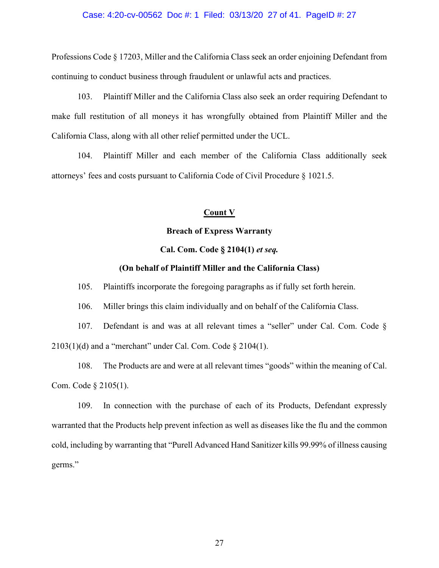### Case: 4:20-cv-00562 Doc #: 1 Filed: 03/13/20 27 of 41. PageID #: 27

Professions Code § 17203, Miller and the California Class seek an order enjoining Defendant from continuing to conduct business through fraudulent or unlawful acts and practices.

103. Plaintiff Miller and the California Class also seek an order requiring Defendant to make full restitution of all moneys it has wrongfully obtained from Plaintiff Miller and the California Class, along with all other relief permitted under the UCL.

104. Plaintiff Miller and each member of the California Class additionally seek attorneys' fees and costs pursuant to California Code of Civil Procedure § 1021.5.

# **Count V**

### **Breach of Express Warranty**

## **Cal. Com. Code § 2104(1)** *et seq.*

# **(On behalf of Plaintiff Miller and the California Class)**

105. Plaintiffs incorporate the foregoing paragraphs as if fully set forth herein.

106. Miller brings this claim individually and on behalf of the California Class.

107. Defendant is and was at all relevant times a "seller" under Cal. Com. Code §  $2103(1)(d)$  and a "merchant" under Cal. Com. Code § 2104(1).

108. The Products are and were at all relevant times "goods" within the meaning of Cal. Com. Code § 2105(1).

109. In connection with the purchase of each of its Products, Defendant expressly warranted that the Products help prevent infection as well as diseases like the flu and the common cold, including by warranting that "Purell Advanced Hand Sanitizer kills 99.99% of illness causing germs."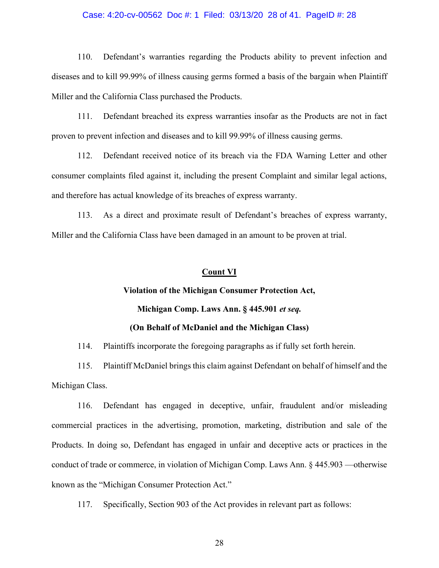#### Case: 4:20-cv-00562 Doc #: 1 Filed: 03/13/20 28 of 41. PageID #: 28

110. Defendant's warranties regarding the Products ability to prevent infection and diseases and to kill 99.99% of illness causing germs formed a basis of the bargain when Plaintiff Miller and the California Class purchased the Products.

111. Defendant breached its express warranties insofar as the Products are not in fact proven to prevent infection and diseases and to kill 99.99% of illness causing germs.

112. Defendant received notice of its breach via the FDA Warning Letter and other consumer complaints filed against it, including the present Complaint and similar legal actions, and therefore has actual knowledge of its breaches of express warranty.

113. As a direct and proximate result of Defendant's breaches of express warranty, Miller and the California Class have been damaged in an amount to be proven at trial.

# **Count VI**

## **Violation of the Michigan Consumer Protection Act,**

# **Michigan Comp. Laws Ann. § 445.901** *et seq.*

# **(On Behalf of McDaniel and the Michigan Class)**

114. Plaintiffs incorporate the foregoing paragraphs as if fully set forth herein.

115. Plaintiff McDaniel brings this claim against Defendant on behalf of himself and the Michigan Class.

116. Defendant has engaged in deceptive, unfair, fraudulent and/or misleading commercial practices in the advertising, promotion, marketing, distribution and sale of the Products. In doing so, Defendant has engaged in unfair and deceptive acts or practices in the conduct of trade or commerce, in violation of Michigan Comp. Laws Ann. § 445.903 —otherwise known as the "Michigan Consumer Protection Act."

117. Specifically, Section 903 of the Act provides in relevant part as follows: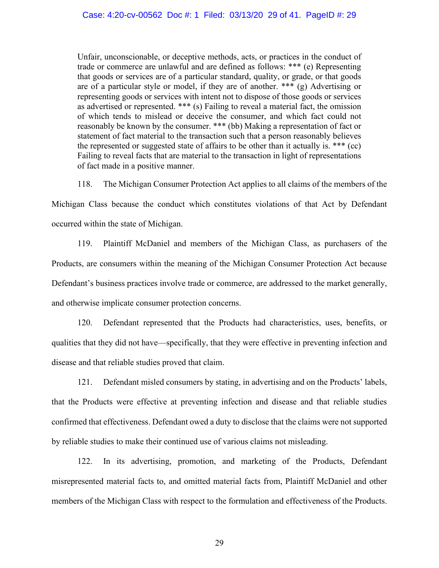Unfair, unconscionable, or deceptive methods, acts, or practices in the conduct of trade or commerce are unlawful and are defined as follows: \*\*\* (e) Representing that goods or services are of a particular standard, quality, or grade, or that goods are of a particular style or model, if they are of another. \*\*\* (g) Advertising or representing goods or services with intent not to dispose of those goods or services as advertised or represented. \*\*\* (s) Failing to reveal a material fact, the omission of which tends to mislead or deceive the consumer, and which fact could not reasonably be known by the consumer. \*\*\* (bb) Making a representation of fact or statement of fact material to the transaction such that a person reasonably believes the represented or suggested state of affairs to be other than it actually is. \*\*\* (cc) Failing to reveal facts that are material to the transaction in light of representations of fact made in a positive manner.

118. The Michigan Consumer Protection Act applies to all claims of the members of the

Michigan Class because the conduct which constitutes violations of that Act by Defendant occurred within the state of Michigan.

119. Plaintiff McDaniel and members of the Michigan Class, as purchasers of the Products, are consumers within the meaning of the Michigan Consumer Protection Act because Defendant's business practices involve trade or commerce, are addressed to the market generally, and otherwise implicate consumer protection concerns.

120. Defendant represented that the Products had characteristics, uses, benefits, or qualities that they did not have—specifically, that they were effective in preventing infection and disease and that reliable studies proved that claim.

121. Defendant misled consumers by stating, in advertising and on the Products' labels, that the Products were effective at preventing infection and disease and that reliable studies confirmed that effectiveness. Defendant owed a duty to disclose that the claims were not supported by reliable studies to make their continued use of various claims not misleading.

122. In its advertising, promotion, and marketing of the Products, Defendant misrepresented material facts to, and omitted material facts from, Plaintiff McDaniel and other members of the Michigan Class with respect to the formulation and effectiveness of the Products.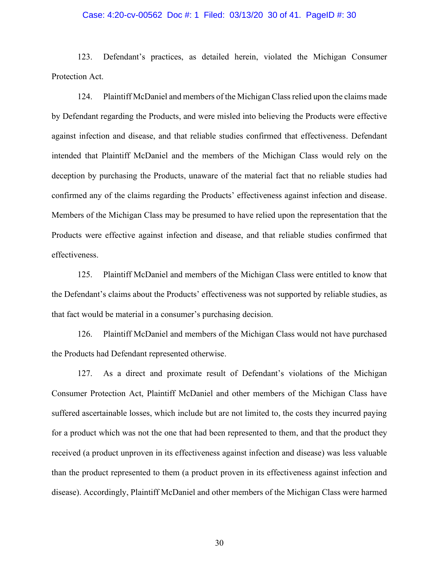### Case: 4:20-cv-00562 Doc #: 1 Filed: 03/13/20 30 of 41. PageID #: 30

123. Defendant's practices, as detailed herein, violated the Michigan Consumer Protection Act.

124. Plaintiff McDaniel and members of the Michigan Class relied upon the claims made by Defendant regarding the Products, and were misled into believing the Products were effective against infection and disease, and that reliable studies confirmed that effectiveness. Defendant intended that Plaintiff McDaniel and the members of the Michigan Class would rely on the deception by purchasing the Products, unaware of the material fact that no reliable studies had confirmed any of the claims regarding the Products' effectiveness against infection and disease. Members of the Michigan Class may be presumed to have relied upon the representation that the Products were effective against infection and disease, and that reliable studies confirmed that effectiveness.

125. Plaintiff McDaniel and members of the Michigan Class were entitled to know that the Defendant's claims about the Products' effectiveness was not supported by reliable studies, as that fact would be material in a consumer's purchasing decision.

126. Plaintiff McDaniel and members of the Michigan Class would not have purchased the Products had Defendant represented otherwise.

127. As a direct and proximate result of Defendant's violations of the Michigan Consumer Protection Act, Plaintiff McDaniel and other members of the Michigan Class have suffered ascertainable losses, which include but are not limited to, the costs they incurred paying for a product which was not the one that had been represented to them, and that the product they received (a product unproven in its effectiveness against infection and disease) was less valuable than the product represented to them (a product proven in its effectiveness against infection and disease). Accordingly, Plaintiff McDaniel and other members of the Michigan Class were harmed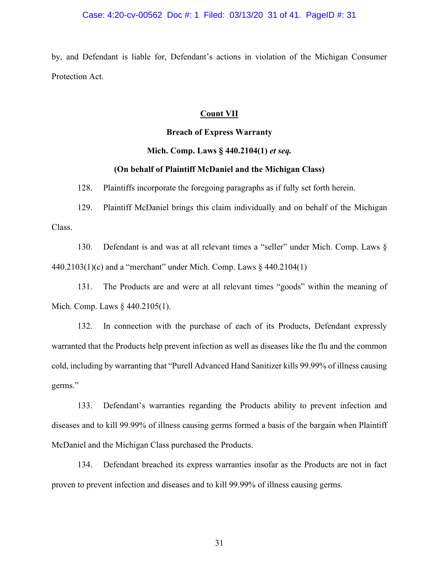by, and Defendant is liable for, Defendant's actions in violation of the Michigan Consumer Protection Act.

# **Count VII**

# **Breach of Express Warranty**

# **Mich. Comp. Laws § 440.2104(1)** *et seq.*

# **(On behalf of Plaintiff McDaniel and the Michigan Class)**

128. Plaintiffs incorporate the foregoing paragraphs as if fully set forth herein.

129. Plaintiff McDaniel brings this claim individually and on behalf of the Michigan Class.

130. Defendant is and was at all relevant times a "seller" under Mich. Comp. Laws § 440.2103(1)(c) and a "merchant" under Mich. Comp. Laws § 440.2104(1)

131. The Products are and were at all relevant times "goods" within the meaning of Mich. Comp. Laws  $§$  440.2105(1).

132. In connection with the purchase of each of its Products, Defendant expressly warranted that the Products help prevent infection as well as diseases like the flu and the common cold, including by warranting that "Purell Advanced Hand Sanitizer kills 99.99% of illness causing germs."

133. Defendant's warranties regarding the Products ability to prevent infection and diseases and to kill 99.99% of illness causing germs formed a basis of the bargain when Plaintiff McDaniel and the Michigan Class purchased the Products.

134. Defendant breached its express warranties insofar as the Products are not in fact proven to prevent infection and diseases and to kill 99.99% of illness causing germs.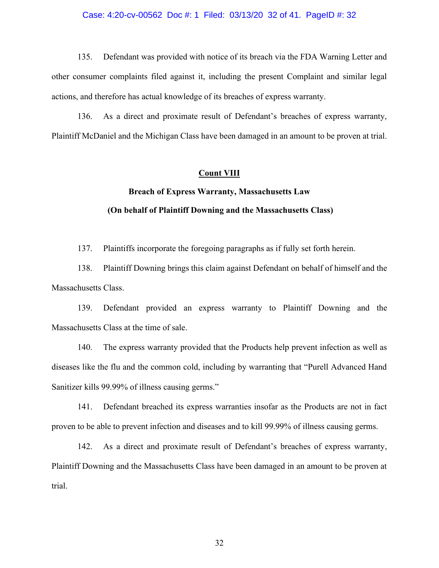#### Case: 4:20-cv-00562 Doc #: 1 Filed: 03/13/20 32 of 41. PageID #: 32

135. Defendant was provided with notice of its breach via the FDA Warning Letter and other consumer complaints filed against it, including the present Complaint and similar legal actions, and therefore has actual knowledge of its breaches of express warranty.

136. As a direct and proximate result of Defendant's breaches of express warranty, Plaintiff McDaniel and the Michigan Class have been damaged in an amount to be proven at trial.

## **Count VIII**

# **Breach of Express Warranty, Massachusetts Law (On behalf of Plaintiff Downing and the Massachusetts Class)**

137. Plaintiffs incorporate the foregoing paragraphs as if fully set forth herein.

138. Plaintiff Downing brings this claim against Defendant on behalf of himself and the Massachusetts Class.

139. Defendant provided an express warranty to Plaintiff Downing and the Massachusetts Class at the time of sale.

140. The express warranty provided that the Products help prevent infection as well as diseases like the flu and the common cold, including by warranting that "Purell Advanced Hand Sanitizer kills 99.99% of illness causing germs."

141. Defendant breached its express warranties insofar as the Products are not in fact proven to be able to prevent infection and diseases and to kill 99.99% of illness causing germs.

142. As a direct and proximate result of Defendant's breaches of express warranty, Plaintiff Downing and the Massachusetts Class have been damaged in an amount to be proven at trial.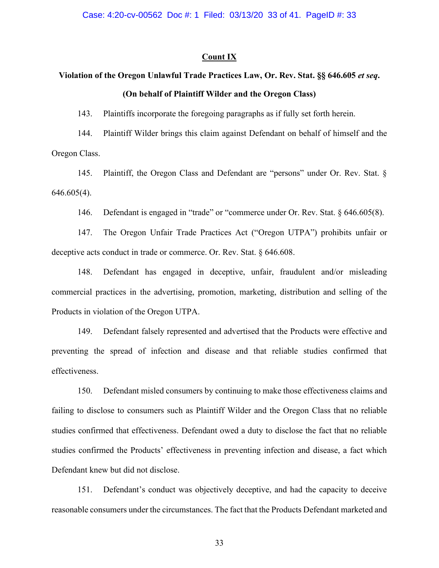# **Count IX**

# **Violation of the Oregon Unlawful Trade Practices Law, Or. Rev. Stat. §§ 646.605** *et seq***. (On behalf of Plaintiff Wilder and the Oregon Class)**

143. Plaintiffs incorporate the foregoing paragraphs as if fully set forth herein.

144. Plaintiff Wilder brings this claim against Defendant on behalf of himself and the Oregon Class.

145. Plaintiff, the Oregon Class and Defendant are "persons" under Or. Rev. Stat. § 646.605(4).

146. Defendant is engaged in "trade" or "commerce under Or. Rev. Stat. § 646.605(8).

147. The Oregon Unfair Trade Practices Act ("Oregon UTPA") prohibits unfair or deceptive acts conduct in trade or commerce. Or. Rev. Stat. § 646.608.

148. Defendant has engaged in deceptive, unfair, fraudulent and/or misleading commercial practices in the advertising, promotion, marketing, distribution and selling of the Products in violation of the Oregon UTPA.

149. Defendant falsely represented and advertised that the Products were effective and preventing the spread of infection and disease and that reliable studies confirmed that effectiveness.

150. Defendant misled consumers by continuing to make those effectiveness claims and failing to disclose to consumers such as Plaintiff Wilder and the Oregon Class that no reliable studies confirmed that effectiveness. Defendant owed a duty to disclose the fact that no reliable studies confirmed the Products' effectiveness in preventing infection and disease, a fact which Defendant knew but did not disclose.

151. Defendant's conduct was objectively deceptive, and had the capacity to deceive reasonable consumers under the circumstances. The fact that the Products Defendant marketed and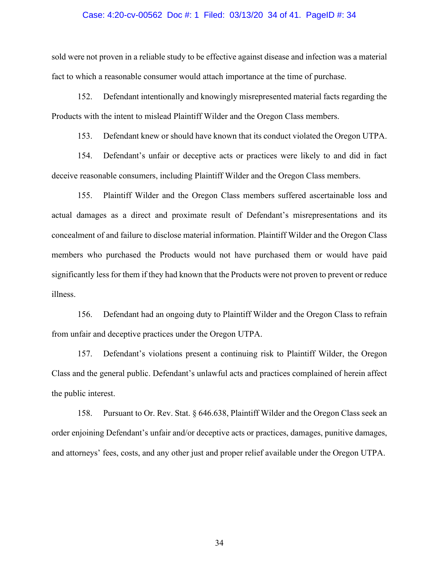#### Case: 4:20-cv-00562 Doc #: 1 Filed: 03/13/20 34 of 41. PageID #: 34

sold were not proven in a reliable study to be effective against disease and infection was a material fact to which a reasonable consumer would attach importance at the time of purchase.

152. Defendant intentionally and knowingly misrepresented material facts regarding the Products with the intent to mislead Plaintiff Wilder and the Oregon Class members.

153. Defendant knew or should have known that its conduct violated the Oregon UTPA.

154. Defendant's unfair or deceptive acts or practices were likely to and did in fact deceive reasonable consumers, including Plaintiff Wilder and the Oregon Class members.

155. Plaintiff Wilder and the Oregon Class members suffered ascertainable loss and actual damages as a direct and proximate result of Defendant's misrepresentations and its concealment of and failure to disclose material information. Plaintiff Wilder and the Oregon Class members who purchased the Products would not have purchased them or would have paid significantly less for them if they had known that the Products were not proven to prevent or reduce illness.

156. Defendant had an ongoing duty to Plaintiff Wilder and the Oregon Class to refrain from unfair and deceptive practices under the Oregon UTPA.

157. Defendant's violations present a continuing risk to Plaintiff Wilder, the Oregon Class and the general public. Defendant's unlawful acts and practices complained of herein affect the public interest.

158. Pursuant to Or. Rev. Stat. § 646.638, Plaintiff Wilder and the Oregon Class seek an order enjoining Defendant's unfair and/or deceptive acts or practices, damages, punitive damages, and attorneys' fees, costs, and any other just and proper relief available under the Oregon UTPA.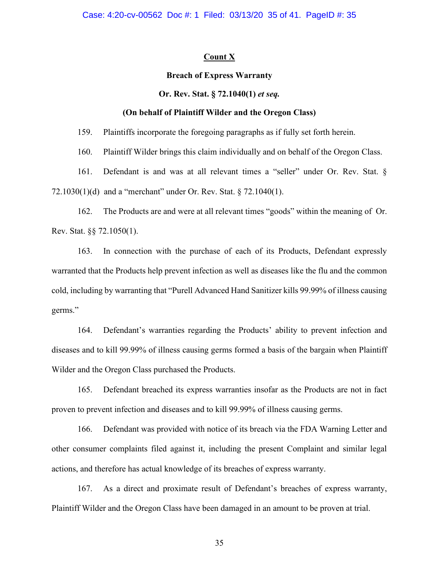# **Count X**

## **Breach of Express Warranty**

# **Or. Rev. Stat. § 72.1040(1)** *et seq.*

## **(On behalf of Plaintiff Wilder and the Oregon Class)**

159. Plaintiffs incorporate the foregoing paragraphs as if fully set forth herein.

160. Plaintiff Wilder brings this claim individually and on behalf of the Oregon Class.

161. Defendant is and was at all relevant times a "seller" under Or. Rev. Stat. § 72.1030(1)(d) and a "merchant" under Or. Rev. Stat. § 72.1040(1).

162. The Products are and were at all relevant times "goods" within the meaning of Or. Rev. Stat. §§ 72.1050(1).

163. In connection with the purchase of each of its Products, Defendant expressly warranted that the Products help prevent infection as well as diseases like the flu and the common cold, including by warranting that "Purell Advanced Hand Sanitizer kills 99.99% of illness causing germs."

164. Defendant's warranties regarding the Products' ability to prevent infection and diseases and to kill 99.99% of illness causing germs formed a basis of the bargain when Plaintiff Wilder and the Oregon Class purchased the Products.

165. Defendant breached its express warranties insofar as the Products are not in fact proven to prevent infection and diseases and to kill 99.99% of illness causing germs.

166. Defendant was provided with notice of its breach via the FDA Warning Letter and other consumer complaints filed against it, including the present Complaint and similar legal actions, and therefore has actual knowledge of its breaches of express warranty.

167. As a direct and proximate result of Defendant's breaches of express warranty, Plaintiff Wilder and the Oregon Class have been damaged in an amount to be proven at trial.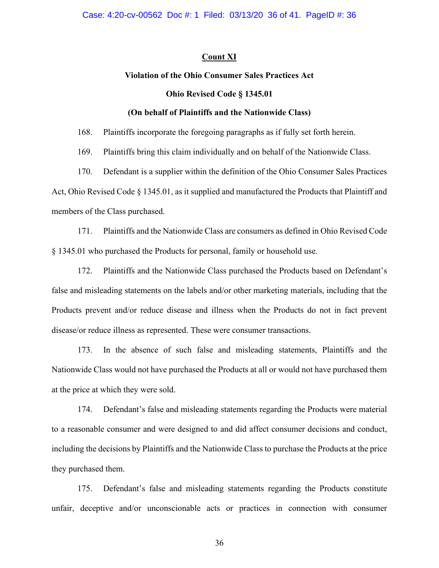# **Count XI**

# **Violation of the Ohio Consumer Sales Practices Act**

# **Ohio Revised Code § 1345.01**

# **(On behalf of Plaintiffs and the Nationwide Class)**

168. Plaintiffs incorporate the foregoing paragraphs as if fully set forth herein.

169. Plaintiffs bring this claim individually and on behalf of the Nationwide Class.

170. Defendant is a supplier within the definition of the Ohio Consumer Sales Practices Act, Ohio Revised Code § 1345.01, as it supplied and manufactured the Products that Plaintiff and members of the Class purchased.

171. Plaintiffs and the Nationwide Class are consumers as defined in Ohio Revised Code § 1345.01 who purchased the Products for personal, family or household use.

172. Plaintiffs and the Nationwide Class purchased the Products based on Defendant's false and misleading statements on the labels and/or other marketing materials, including that the Products prevent and/or reduce disease and illness when the Products do not in fact prevent disease/or reduce illness as represented. These were consumer transactions.

173. In the absence of such false and misleading statements, Plaintiffs and the Nationwide Class would not have purchased the Products at all or would not have purchased them at the price at which they were sold.

174. Defendant's false and misleading statements regarding the Products were material to a reasonable consumer and were designed to and did affect consumer decisions and conduct, including the decisions by Plaintiffs and the Nationwide Class to purchase the Products at the price they purchased them.

175. Defendant's false and misleading statements regarding the Products constitute unfair, deceptive and/or unconscionable acts or practices in connection with consumer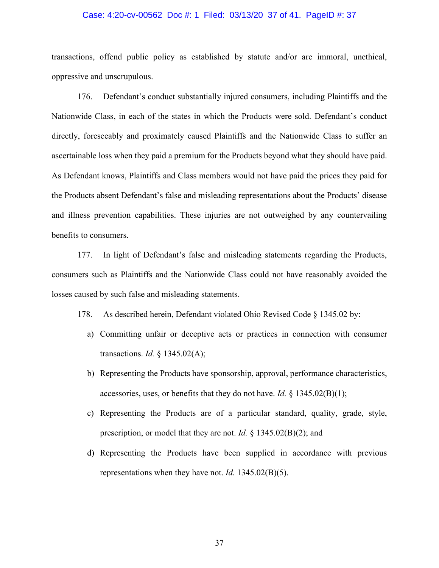#### Case: 4:20-cv-00562 Doc #: 1 Filed: 03/13/20 37 of 41. PageID #: 37

transactions, offend public policy as established by statute and/or are immoral, unethical, oppressive and unscrupulous.

176. Defendant's conduct substantially injured consumers, including Plaintiffs and the Nationwide Class, in each of the states in which the Products were sold. Defendant's conduct directly, foreseeably and proximately caused Plaintiffs and the Nationwide Class to suffer an ascertainable loss when they paid a premium for the Products beyond what they should have paid. As Defendant knows, Plaintiffs and Class members would not have paid the prices they paid for the Products absent Defendant's false and misleading representations about the Products' disease and illness prevention capabilities. These injuries are not outweighed by any countervailing benefits to consumers.

177. In light of Defendant's false and misleading statements regarding the Products, consumers such as Plaintiffs and the Nationwide Class could not have reasonably avoided the losses caused by such false and misleading statements.

178. As described herein, Defendant violated Ohio Revised Code § 1345.02 by:

- a) Committing unfair or deceptive acts or practices in connection with consumer transactions. *Id.* § 1345.02(A);
- b) Representing the Products have sponsorship, approval, performance characteristics, accessories, uses, or benefits that they do not have. *Id.* § 1345.02(B)(1);
- c) Representing the Products are of a particular standard, quality, grade, style, prescription, or model that they are not. *Id.* § 1345.02(B)(2); and
- d) Representing the Products have been supplied in accordance with previous representations when they have not. *Id.* 1345.02(B)(5).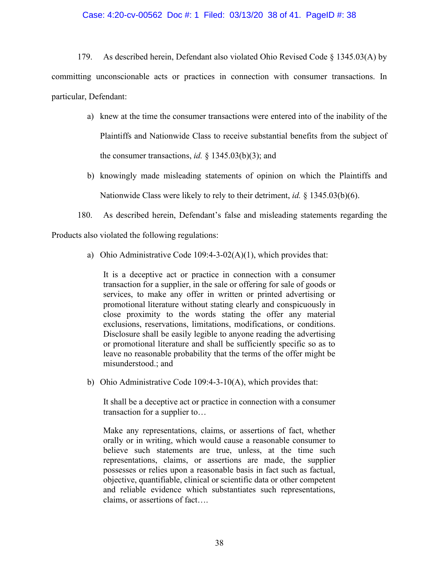# Case: 4:20-cv-00562 Doc #: 1 Filed: 03/13/20 38 of 41. PageID #: 38

179. As described herein, Defendant also violated Ohio Revised Code § 1345.03(A) by committing unconscionable acts or practices in connection with consumer transactions. In particular, Defendant:

- a) knew at the time the consumer transactions were entered into of the inability of the Plaintiffs and Nationwide Class to receive substantial benefits from the subject of the consumer transactions, *id.* § 1345.03(b)(3); and
- b) knowingly made misleading statements of opinion on which the Plaintiffs and Nationwide Class were likely to rely to their detriment, *id.* § 1345.03(b)(6).
- 180. As described herein, Defendant's false and misleading statements regarding the

Products also violated the following regulations:

a) Ohio Administrative Code 109:4-3-02(A)(1), which provides that:

It is a deceptive act or practice in connection with a consumer transaction for a supplier, in the sale or offering for sale of goods or services, to make any offer in written or printed advertising or promotional literature without stating clearly and conspicuously in close proximity to the words stating the offer any material exclusions, reservations, limitations, modifications, or conditions. Disclosure shall be easily legible to anyone reading the advertising or promotional literature and shall be sufficiently specific so as to leave no reasonable probability that the terms of the offer might be misunderstood.; and

b) Ohio Administrative Code 109:4-3-10(A), which provides that:

It shall be a deceptive act or practice in connection with a consumer transaction for a supplier to…

Make any representations, claims, or assertions of fact, whether orally or in writing, which would cause a reasonable consumer to believe such statements are true, unless, at the time such representations, claims, or assertions are made, the supplier possesses or relies upon a reasonable basis in fact such as factual, objective, quantifiable, clinical or scientific data or other competent and reliable evidence which substantiates such representations, claims, or assertions of fact….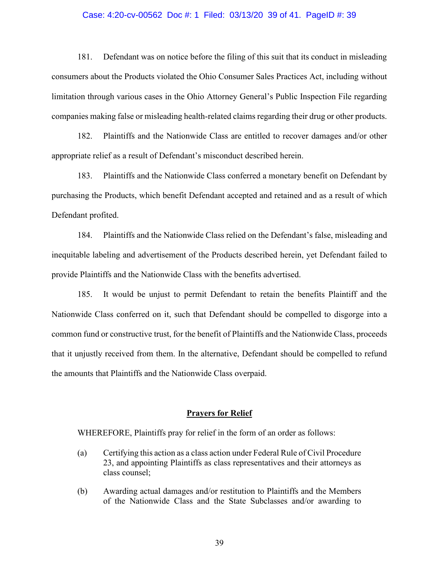#### Case: 4:20-cv-00562 Doc #: 1 Filed: 03/13/20 39 of 41. PageID #: 39

181. Defendant was on notice before the filing of this suit that its conduct in misleading consumers about the Products violated the Ohio Consumer Sales Practices Act, including without limitation through various cases in the Ohio Attorney General's Public Inspection File regarding companies making false or misleading health-related claims regarding their drug or other products.

182. Plaintiffs and the Nationwide Class are entitled to recover damages and/or other appropriate relief as a result of Defendant's misconduct described herein.

183. Plaintiffs and the Nationwide Class conferred a monetary benefit on Defendant by purchasing the Products, which benefit Defendant accepted and retained and as a result of which Defendant profited.

184. Plaintiffs and the Nationwide Class relied on the Defendant's false, misleading and inequitable labeling and advertisement of the Products described herein, yet Defendant failed to provide Plaintiffs and the Nationwide Class with the benefits advertised.

185. It would be unjust to permit Defendant to retain the benefits Plaintiff and the Nationwide Class conferred on it, such that Defendant should be compelled to disgorge into a common fund or constructive trust, for the benefit of Plaintiffs and the Nationwide Class, proceeds that it unjustly received from them. In the alternative, Defendant should be compelled to refund the amounts that Plaintiffs and the Nationwide Class overpaid.

### **Prayers for Relief**

WHEREFORE, Plaintiffs pray for relief in the form of an order as follows:

- (a) Certifying this action as a class action under Federal Rule of Civil Procedure 23, and appointing Plaintiffs as class representatives and their attorneys as class counsel;
- (b) Awarding actual damages and/or restitution to Plaintiffs and the Members of the Nationwide Class and the State Subclasses and/or awarding to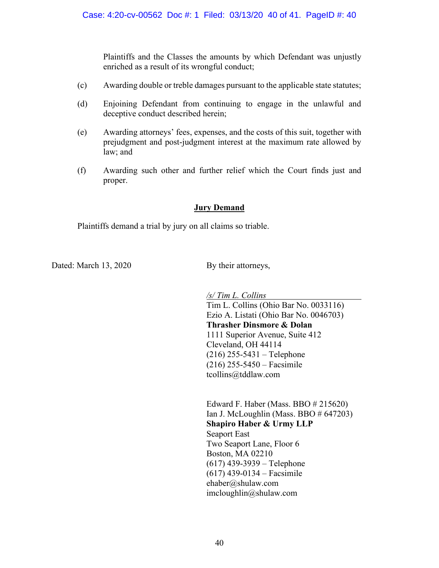Plaintiffs and the Classes the amounts by which Defendant was unjustly enriched as a result of its wrongful conduct;

- (c) Awarding double or treble damages pursuant to the applicable state statutes;
- (d) Enjoining Defendant from continuing to engage in the unlawful and deceptive conduct described herein;
- (e) Awarding attorneys' fees, expenses, and the costs of this suit, together with prejudgment and post-judgment interest at the maximum rate allowed by law; and
- (f) Awarding such other and further relief which the Court finds just and proper.

# **Jury Demand**

Plaintiffs demand a trial by jury on all claims so triable.

Dated: March 13, 2020 By their attorneys,

*/s/ Tim L. Collins*

Tim L. Collins (Ohio Bar No. 0033116) Ezio A. Listati (Ohio Bar No. 0046703) **Thrasher Dinsmore & Dolan** 1111 Superior Avenue, Suite 412 Cleveland, OH 44114 (216) 255-5431 – Telephone (216) 255-5450 – Facsimile tcollins@tddlaw.com

Edward F. Haber (Mass. BBO # 215620) Ian J. McLoughlin (Mass. BBO # 647203) **Shapiro Haber & Urmy LLP** Seaport East Two Seaport Lane, Floor 6 Boston, MA 02210 (617) 439-3939 – Telephone (617) 439-0134 – Facsimile ehaber@shulaw.com imcloughlin@shulaw.com